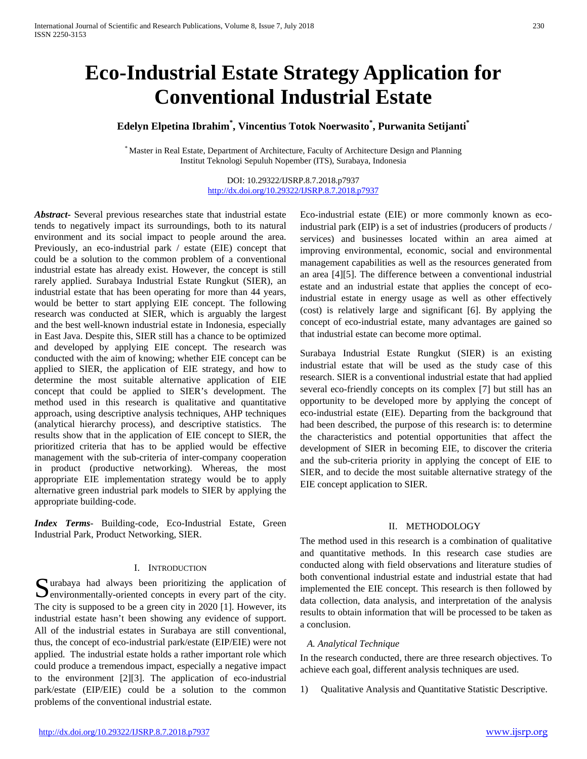# **Eco-Industrial Estate Strategy Application for Conventional Industrial Estate**

## **Edelyn Elpetina Ibrahim\* , Vincentius Totok Noerwasito\* , Purwanita Setijanti\***

\* Master in Real Estate, Department of Architecture, Faculty of Architecture Design and Planning Institut Teknologi Sepuluh Nopember (ITS), Surabaya, Indonesia

## DOI: 10.29322/IJSRP.8.7.2018.p7937 <http://dx.doi.org/10.29322/IJSRP.8.7.2018.p7937>

*Abstract***-** Several previous researches state that industrial estate tends to negatively impact its surroundings, both to its natural environment and its social impact to people around the area. Previously, an eco-industrial park / estate (EIE) concept that could be a solution to the common problem of a conventional industrial estate has already exist. However, the concept is still rarely applied. Surabaya Industrial Estate Rungkut (SIER), an industrial estate that has been operating for more than 44 years, would be better to start applying EIE concept. The following research was conducted at SIER, which is arguably the largest and the best well-known industrial estate in Indonesia, especially in East Java. Despite this, SIER still has a chance to be optimized and developed by applying EIE concept. The research was conducted with the aim of knowing; whether EIE concept can be applied to SIER, the application of EIE strategy, and how to determine the most suitable alternative application of EIE concept that could be applied to SIER's development. The method used in this research is qualitative and quantitative approach, using descriptive analysis techniques, AHP techniques (analytical hierarchy process), and descriptive statistics. The results show that in the application of EIE concept to SIER, the prioritized criteria that has to be applied would be effective management with the sub-criteria of inter-company cooperation in product (productive networking). Whereas, the most appropriate EIE implementation strategy would be to apply alternative green industrial park models to SIER by applying the appropriate building-code.

*Index Terms*- Building-code, Eco-Industrial Estate, Green Industrial Park, Product Networking, SIER.

#### I. INTRODUCTION

Surabaya had always been prioritizing the application of environmentally-oriented concepts in every part of the city.  $\sum$  environmentally-oriented concepts in every part of the city. The city is supposed to be a green city in 2020 [1]. However, its industrial estate hasn't been showing any evidence of support. All of the industrial estates in Surabaya are still conventional, thus, the concept of eco-industrial park/estate (EIP/EIE) were not applied. The industrial estate holds a rather important role which could produce a tremendous impact, especially a negative impact to the environment [2][3]. The application of eco-industrial park/estate (EIP/EIE) could be a solution to the common problems of the conventional industrial estate.

Eco-industrial estate (EIE) or more commonly known as ecoindustrial park (EIP) is a set of industries (producers of products / services) and businesses located within an area aimed at improving environmental, economic, social and environmental management capabilities as well as the resources generated from an area [4][5]. The difference between a conventional industrial estate and an industrial estate that applies the concept of ecoindustrial estate in energy usage as well as other effectively (cost) is relatively large and significant [6]. By applying the concept of eco-industrial estate, many advantages are gained so that industrial estate can become more optimal.

Surabaya Industrial Estate Rungkut (SIER) is an existing industrial estate that will be used as the study case of this research. SIER is a conventional industrial estate that had applied several eco-friendly concepts on its complex [7] but still has an opportunity to be developed more by applying the concept of eco-industrial estate (EIE). Departing from the background that had been described, the purpose of this research is: to determine the characteristics and potential opportunities that affect the development of SIER in becoming EIE, to discover the criteria and the sub-criteria priority in applying the concept of EIE to SIER, and to decide the most suitable alternative strategy of the EIE concept application to SIER.

## II. METHODOLOGY

The method used in this research is a combination of qualitative and quantitative methods. In this research case studies are conducted along with field observations and literature studies of both conventional industrial estate and industrial estate that had implemented the EIE concept. This research is then followed by data collection, data analysis, and interpretation of the analysis results to obtain information that will be processed to be taken as a conclusion.

#### *A. Analytical Technique*

In the research conducted, there are three research objectives. To achieve each goal, different analysis techniques are used.

1) Qualitative Analysis and Quantitative Statistic Descriptive.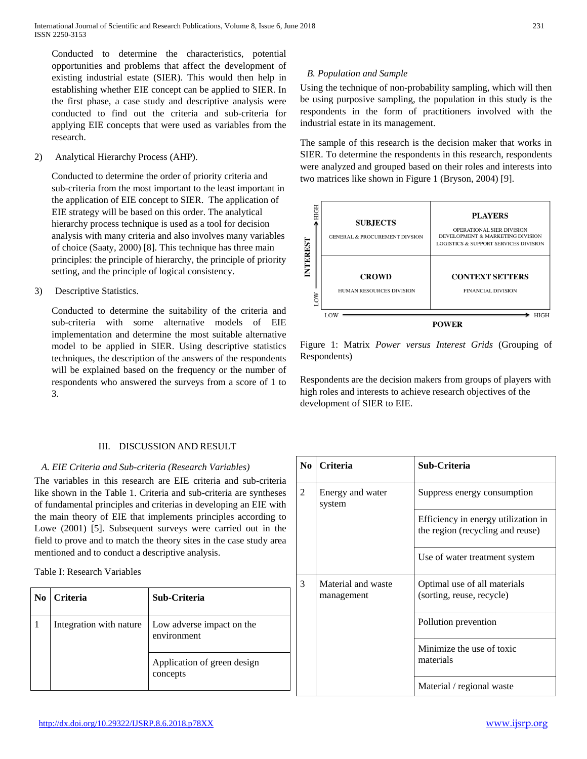Conducted to determine the characteristics, potential opportunities and problems that affect the development of existing industrial estate (SIER). This would then help in establishing whether EIE concept can be applied to SIER. In the first phase, a case study and descriptive analysis were conducted to find out the criteria and sub-criteria for applying EIE concepts that were used as variables from the research.

2) Analytical Hierarchy Process (AHP).

Conducted to determine the order of priority criteria and sub-criteria from the most important to the least important in the application of EIE concept to SIER. The application of EIE strategy will be based on this order. The analytical hierarchy process technique is used as a tool for decision analysis with many criteria and also involves many variables of choice (Saaty, 2000) [8]. This technique has three main principles: the principle of hierarchy, the principle of priority setting, and the principle of logical consistency.

3) Descriptive Statistics.

Conducted to determine the suitability of the criteria and sub-criteria with some alternative models of EIE implementation and determine the most suitable alternative model to be applied in SIER. Using descriptive statistics techniques, the description of the answers of the respondents will be explained based on the frequency or the number of respondents who answered the surveys from a score of 1 to 3.

## III. DISCUSSION AND RESULT

## *A. EIE Criteria and Sub-criteria (Research Variables)*

The variables in this research are EIE criteria and sub-criteria like shown in the Table 1. Criteria and sub-criteria are syntheses of fundamental principles and criterias in developing an EIE with the main theory of EIE that implements principles according to Lowe (2001) [5]. Subsequent surveys were carried out in the field to prove and to match the theory sites in the case study area mentioned and to conduct a descriptive analysis.

Table I: Research Variables

| No. | Criteria                | Sub-Criteria                             |
|-----|-------------------------|------------------------------------------|
|     | Integration with nature | Low adverse impact on the<br>environment |
|     |                         | Application of green design<br>concepts  |

## *B. Population and Sample*

Using the technique of non-probability sampling, which will then be using purposive sampling, the population in this study is the respondents in the form of practitioners involved with the industrial estate in its management.

The sample of this research is the decision maker that works in SIER. To determine the respondents in this research, respondents were analyzed and grouped based on their roles and interests into two matrices like shown in Figure 1 (Bryson, 2004) [9].



Figure 1: Matrix *Power versus Interest Grids* (Grouping of Respondents)

Respondents are the decision makers from groups of players with high roles and interests to achieve research objectives of the development of SIER to EIE.

| No.            | <b>Criteria</b>                  | Sub-Criteria                                                            |  |
|----------------|----------------------------------|-------------------------------------------------------------------------|--|
| $\overline{c}$ | Energy and water<br>system       | Suppress energy consumption                                             |  |
|                |                                  | Efficiency in energy utilization in<br>the region (recycling and reuse) |  |
|                |                                  | Use of water treatment system                                           |  |
| 3              | Material and waste<br>management | Optimal use of all materials<br>(sorting, reuse, recycle)               |  |
|                |                                  | Pollution prevention                                                    |  |
|                |                                  | Minimize the use of toxic<br>materials                                  |  |
|                |                                  | Material / regional waste                                               |  |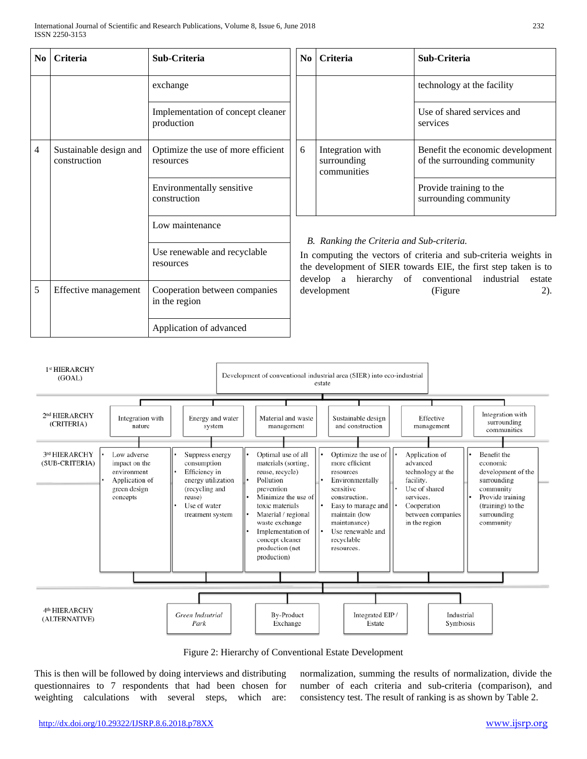| $\bf{No}$      | <b>Criteria</b>                        | Sub-Criteria                                    | N <sub>0</sub>                                                                                                                                                                                                                                  | <b>Criteria</b>                                | Sub-Criteria                                                     |
|----------------|----------------------------------------|-------------------------------------------------|-------------------------------------------------------------------------------------------------------------------------------------------------------------------------------------------------------------------------------------------------|------------------------------------------------|------------------------------------------------------------------|
|                |                                        | exchange                                        |                                                                                                                                                                                                                                                 |                                                | technology at the facility                                       |
|                |                                        | Implementation of concept cleaner<br>production |                                                                                                                                                                                                                                                 |                                                | Use of shared services and<br>services                           |
| $\overline{4}$ | Sustainable design and<br>construction | Optimize the use of more efficient<br>resources | 6                                                                                                                                                                                                                                               | Integration with<br>surrounding<br>communities | Benefit the economic development<br>of the surrounding community |
|                |                                        | Environmentally sensitive<br>construction       |                                                                                                                                                                                                                                                 |                                                | Provide training to the<br>surrounding community                 |
|                |                                        | Low maintenance                                 |                                                                                                                                                                                                                                                 |                                                |                                                                  |
|                |                                        | Use renewable and recyclable<br>resources       | B. Ranking the Criteria and Sub-criteria.<br>In computing the vectors of criteria and sub-criteria weights in<br>the development of SIER towards EIE, the first step taken is to<br>hierarchy of conventional industrial<br>develop a<br>estate |                                                |                                                                  |
| 5              | Effective management                   | Cooperation between companies<br>in the region  |                                                                                                                                                                                                                                                 | development                                    | (Figure<br>$2)$ .                                                |
|                |                                        | Application of advanced                         |                                                                                                                                                                                                                                                 |                                                |                                                                  |



Figure 2: Hierarchy of Conventional Estate Development

This is then will be followed by doing interviews and distributing questionnaires to 7 respondents that had been chosen for weighting calculations with several steps, which are:

normalization, summing the results of normalization, divide the number of each criteria and sub-criteria (comparison), and consistency test. The result of ranking is as shown by Table 2.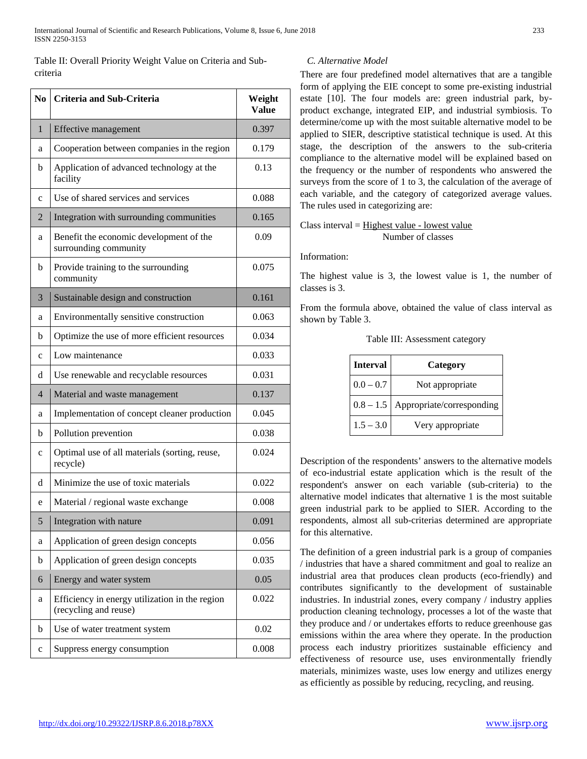Table II: Overall Priority Weight Value on Criteria and Subcriteria

| N <sub>0</sub> | <b>Criteria and Sub-Criteria</b>                                        | Weight<br><b>Value</b> |
|----------------|-------------------------------------------------------------------------|------------------------|
| 1              | Effective management                                                    | 0.397                  |
| a              | Cooperation between companies in the region                             | 0.179                  |
| b              | Application of advanced technology at the<br>facility                   | 0.13                   |
| $\mathbf c$    | Use of shared services and services                                     | 0.088                  |
| $\overline{2}$ | Integration with surrounding communities                                | 0.165                  |
| a              | Benefit the economic development of the<br>surrounding community        | 0.09                   |
| b              | Provide training to the surrounding<br>community                        | 0.075                  |
| 3              | Sustainable design and construction                                     | 0.161                  |
| a              | Environmentally sensitive construction                                  | 0.063                  |
| b              | Optimize the use of more efficient resources                            | 0.034                  |
| $\mathbf c$    | Low maintenance                                                         | 0.033                  |
| d              | Use renewable and recyclable resources                                  | 0.031                  |
| 4              | Material and waste management                                           | 0.137                  |
| a              | Implementation of concept cleaner production                            | 0.045                  |
| b              | Pollution prevention                                                    | 0.038                  |
| $\mathbf c$    | Optimal use of all materials (sorting, reuse,<br>recycle)               | 0.024                  |
| d              | Minimize the use of toxic materials                                     | 0.022                  |
| e              | Material / regional waste exchange                                      | 0.008                  |
| 5              | Integration with nature                                                 | 0.091                  |
| a              | Application of green design concepts                                    | 0.056                  |
| b              | Application of green design concepts                                    | 0.035                  |
| 6              | Energy and water system                                                 | 0.05                   |
| a              | Efficiency in energy utilization in the region<br>(recycling and reuse) | 0.022                  |
| b              | Use of water treatment system                                           | 0.02                   |
| C              | Suppress energy consumption                                             | 0.008                  |

## *C. Alternative Model*

There are four predefined model alternatives that are a tangible form of applying the EIE concept to some pre-existing industrial estate [10]. The four models are: green industrial park, byproduct exchange, integrated EIP, and industrial symbiosis. To determine/come up with the most suitable alternative model to be applied to SIER, descriptive statistical technique is used. At this stage, the description of the answers to the sub-criteria compliance to the alternative model will be explained based on the frequency or the number of respondents who answered the surveys from the score of 1 to 3, the calculation of the average of each variable, and the category of categorized average values. The rules used in categorizing are:

Class interval = Highest value - lowest value Number of classes

Information:

The highest value is 3, the lowest value is 1, the number of classes is 3.

From the formula above, obtained the value of class interval as shown by Table 3.

| <b>Interval</b> | Category                  |
|-----------------|---------------------------|
| $0.0 - 0.7$     | Not appropriate           |
| $0.8 - 1.5$     | Appropriate/corresponding |
| $1.5 - 3.0$     | Very appropriate          |

Table III: Assessment category

Description of the respondents' answers to the alternative models of eco-industrial estate application which is the result of the respondent's answer on each variable (sub-criteria) to the alternative model indicates that alternative 1 is the most suitable green industrial park to be applied to SIER. According to the respondents, almost all sub-criterias determined are appropriate for this alternative.

The definition of a green industrial park is a group of companies / industries that have a shared commitment and goal to realize an industrial area that produces clean products (eco-friendly) and contributes significantly to the development of sustainable industries. In industrial zones, every company / industry applies production cleaning technology, processes a lot of the waste that they produce and / or undertakes efforts to reduce greenhouse gas emissions within the area where they operate. In the production process each industry prioritizes sustainable efficiency and effectiveness of resource use, uses environmentally friendly materials, minimizes waste, uses low energy and utilizes energy as efficiently as possible by reducing, recycling, and reusing.